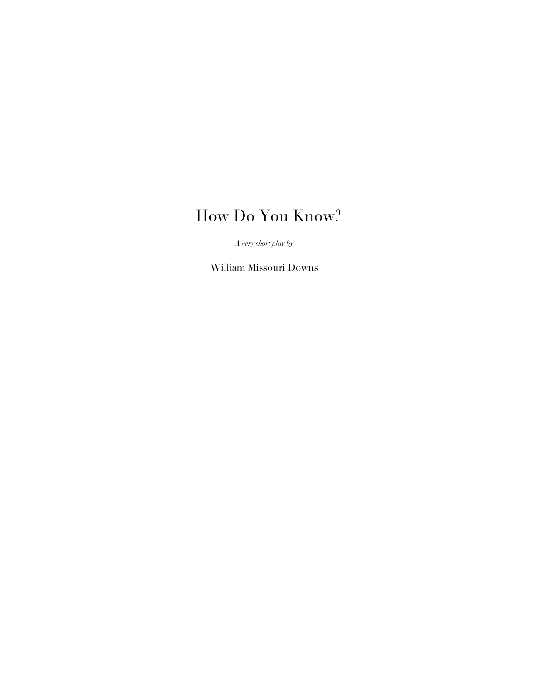# How Do You Know?

*A very short play by*

William Missouri Downs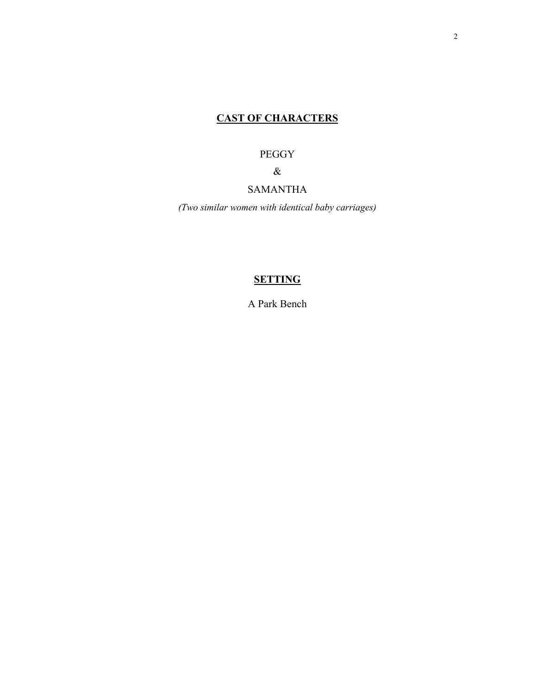# **CAST OF CHARACTERS**

# PEGGY

 $\&$ 

# SAMANTHA

*(Two similar women with identical baby carriages)*

# **SETTING**

A Park Bench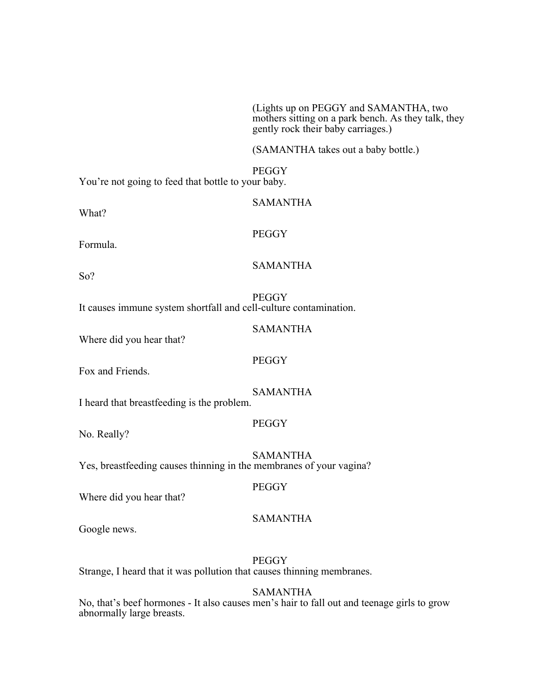(Lights up on PEGGY and SAMANTHA, two mothers sitting on a park bench. As they talk, they gently rock their baby carriages.)

(SAMANTHA takes out a baby bottle.)

**PEGGY** You're not going to feed that bottle to your baby.

What?

Formula.

SAMANTHA

**PEGGY** 

SAMANTHA

SAMANTHA

So?

**PEGGY** 

It causes immune system shortfall and cell-culture contamination.

Where did you hear that?

Fox and Friends.

SAMANTHA

**PEGGY** 

I heard that breastfeeding is the problem.

**PEGGY** 

No. Really?

SAMANTHA Yes, breastfeeding causes thinning in the membranes of your vagina?

**PEGGY** 

Where did you hear that?

Google news.

**PEGGY** 

SAMANTHA

Strange, I heard that it was pollution that causes thinning membranes.

SAMANTHA

No, that's beef hormones - It also causes men's hair to fall out and teenage girls to grow abnormally large breasts.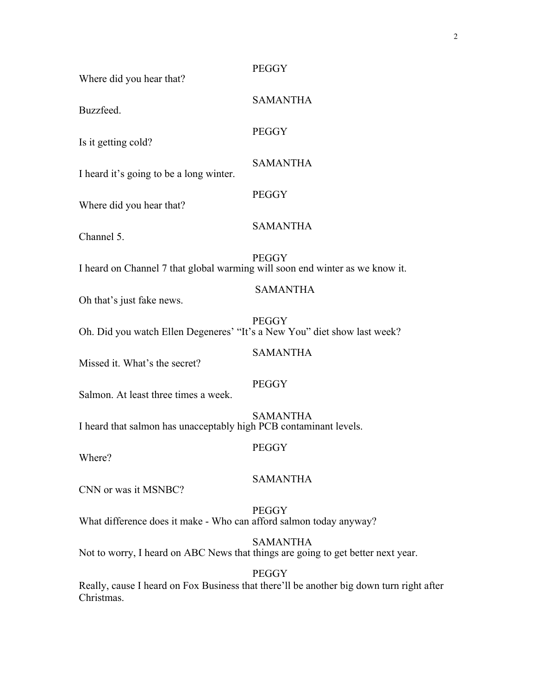2

| Where did you hear that?                                                         | <b>PEGGY</b>    |
|----------------------------------------------------------------------------------|-----------------|
| Buzzfeed.                                                                        | <b>SAMANTHA</b> |
| Is it getting cold?                                                              | <b>PEGGY</b>    |
| I heard it's going to be a long winter.                                          | <b>SAMANTHA</b> |
| Where did you hear that?                                                         | <b>PEGGY</b>    |
| Channel 5.                                                                       | <b>SAMANTHA</b> |
| I heard on Channel 7 that global warming will soon end winter as we know it.     | <b>PEGGY</b>    |
| Oh that's just fake news.                                                        | <b>SAMANTHA</b> |
| Oh. Did you watch Ellen Degeneres' "It's a New You" diet show last week?         | <b>PEGGY</b>    |
| Missed it. What's the secret?                                                    | <b>SAMANTHA</b> |
| Salmon. At least three times a week.                                             | <b>PEGGY</b>    |
| I heard that salmon has unacceptably high PCB contaminant levels.                | <b>SAMANTHA</b> |
| Where?                                                                           | <b>PEGGY</b>    |
| CNN or was it MSNBC?                                                             | <b>SAMANTHA</b> |
| What difference does it make - Who can afford salmon today anyway?               | <b>PEGGY</b>    |
| Not to worry, I heard on ABC News that things are going to get better next year. | <b>SAMANTHA</b> |
|                                                                                  |                 |

PEGGY Really, cause I heard on Fox Business that there'll be another big down turn right after Christmas.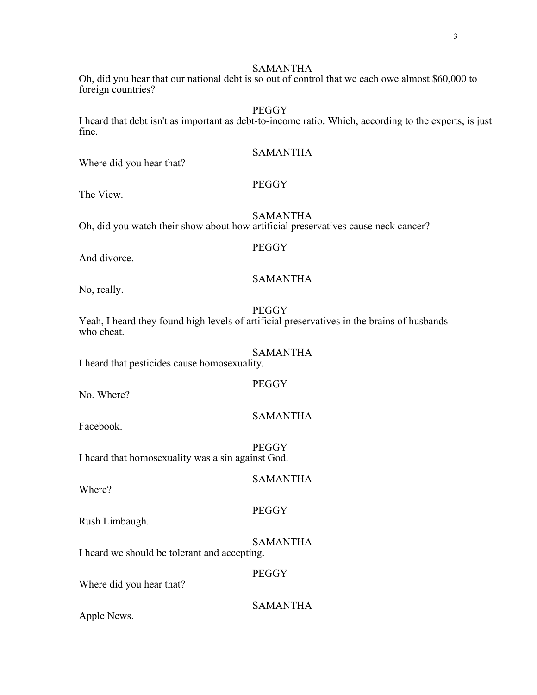# SAMANTHA

Oh, did you hear that our national debt is so out of control that we each owe almost \$60,000 to foreign countries?

#### **PEGGY**

I heard that debt isn't as important as debt-to-income ratio. Which, according to the experts, is just fine.

SAMANTHA

Where did you hear that?

# PEGGY

**PEGGY** 

The View.

SAMANTHA Oh, did you watch their show about how artificial preservatives cause neck cancer?

And divorce.

#### SAMANTHA

No, really.

**PEGGY** 

**PEGGY** 

Yeah, I heard they found high levels of artificial preservatives in the brains of husbands who cheat.

SAMANTHA I heard that pesticides cause homosexuality.

No. Where?

# SAMANTHA

SAMANTHA

Facebook.

**PEGGY** I heard that homosexuality was a sin against God.

# Where?

Rush Limbaugh.

SAMANTHA I heard we should be tolerant and accepting.

**PEGGY** 

**PEGGY** 

Where did you hear that?

SAMANTHA

Apple News.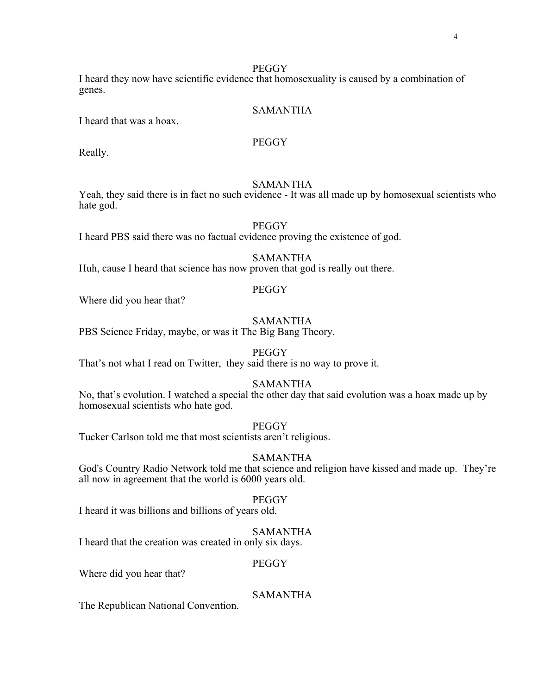I heard they now have scientific evidence that homosexuality is caused by a combination of genes.

# SAMANTHA

I heard that was a hoax.

# **PEGGY**

Really.

### SAMANTHA

Yeah, they said there is in fact no such evidence - It was all made up by homosexual scientists who hate god.

#### **PEGGY**

I heard PBS said there was no factual evidence proving the existence of god.

### SAMANTHA

Huh, cause I heard that science has now proven that god is really out there.

# **PEGGY**

Where did you hear that?

#### SAMANTHA

PBS Science Friday, maybe, or was it The Big Bang Theory.

#### **PEGGY**

That's not what I read on Twitter, they said there is no way to prove it.

#### SAMANTHA

No, that's evolution. I watched a special the other day that said evolution was a hoax made up by homosexual scientists who hate god.

# **PEGGY**

Tucker Carlson told me that most scientists aren't religious.

# SAMANTHA

God's Country Radio Network told me that science and religion have kissed and made up. They're all now in agreement that the world is 6000 years old.

#### **PEGGY**

I heard it was billions and billions of years old.

#### SAMANTHA

I heard that the creation was created in only six days.

#### PEGGY

Where did you hear that?

# SAMANTHA

The Republican National Convention.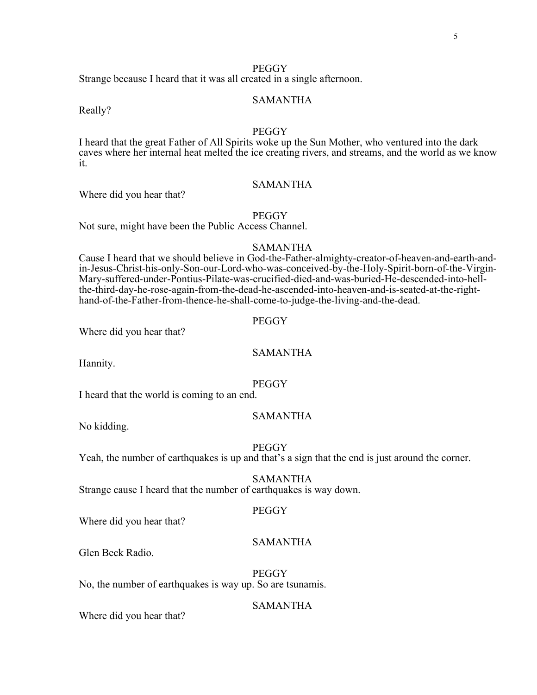Strange because I heard that it was all created in a single afternoon.

#### SAMANTHA

Really?

# **PEGGY**

I heard that the great Father of All Spirits woke up the Sun Mother, who ventured into the dark caves where her internal heat melted the ice creating rivers, and streams, and the world as we know it.

# SAMANTHA

Where did you hear that?

#### **PEGGY**

Not sure, might have been the Public Access Channel.

#### SAMANTHA

Cause I heard that we should believe in God-the-Father-almighty-creator-of-heaven-and-earth-andin-Jesus-Christ-his-only-Son-our-Lord-who-was-conceived-by-the-Holy-Spirit-born-of-the-Virgin-Mary-suffered-under-Pontius-Pilate-was-crucified-died-and-was-buried-He-descended-into-hellthe-third-day-he-rose-again-from-the-dead-he-ascended-into-heaven-and-is-seated-at-the-righthand-of-the-Father-from-thence-he-shall-come-to-judge-the-living-and-the-dead.

#### PEGGY

Where did you hear that?

# SAMANTHA

Hannity.

#### **PEGGY**

I heard that the world is coming to an end.

# SAMANTHA

No kidding.

#### **PEGGY**

Yeah, the number of earthquakes is up and that's a sign that the end is just around the corner.

#### SAMANTHA

Strange cause I heard that the number of earthquakes is way down.

#### PEGGY

Where did you hear that?

#### SAMANTHA

Glen Beck Radio.

**PEGGY** No, the number of earthquakes is way up. So are tsunamis.

#### SAMANTHA

Where did you hear that?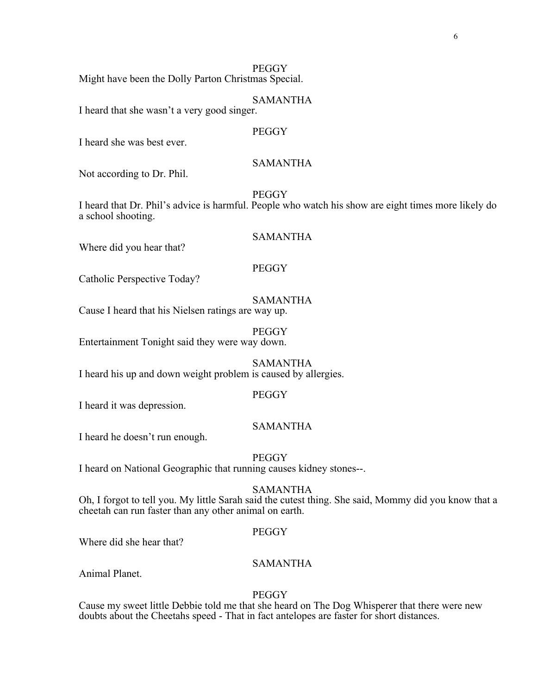Might have been the Dolly Parton Christmas Special.

#### SAMANTHA

I heard that she wasn't a very good singer.

# **PEGGY**

I heard she was best ever.

# SAMANTHA

Not according to Dr. Phil.

**PEGGY** 

I heard that Dr. Phil's advice is harmful. People who watch his show are eight times more likely do a school shooting.

# SAMANTHA

### **PEGGY**

Catholic Perspective Today?

Where did you hear that?

## SAMANTHA

Cause I heard that his Nielsen ratings are way up.

**PEGGY** Entertainment Tonight said they were way down.

SAMANTHA I heard his up and down weight problem is caused by allergies.

#### PEGGY

I heard it was depression.

#### SAMANTHA

I heard he doesn't run enough.

**PEGGY** 

I heard on National Geographic that running causes kidney stones--.

# SAMANTHA

Oh, I forgot to tell you. My little Sarah said the cutest thing. She said, Mommy did you know that a cheetah can run faster than any other animal on earth.

### **PEGGY**

Where did she hear that?

# SAMANTHA

Animal Planet.

# **PEGGY**

Cause my sweet little Debbie told me that she heard on The Dog Whisperer that there were new doubts about the Cheetahs speed - That in fact antelopes are faster for short distances.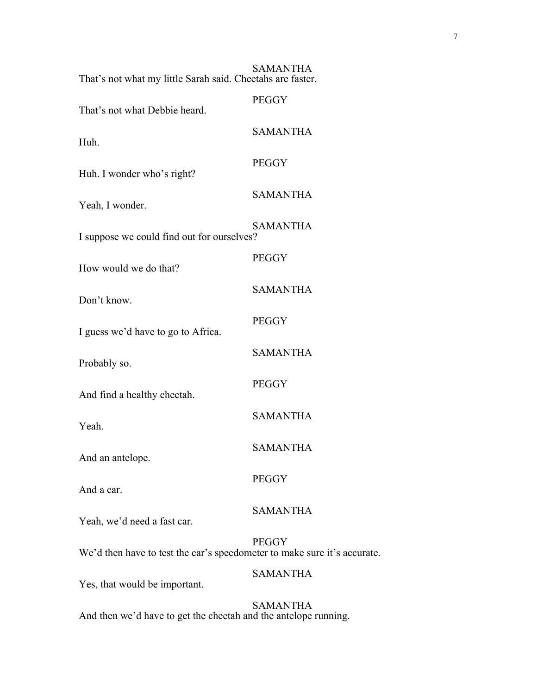| That's not what my little Sarah said. Cheetahs are faster.               | <b>SAMANTHA</b> |
|--------------------------------------------------------------------------|-----------------|
| That's not what Debbie heard.                                            | <b>PEGGY</b>    |
| Huh.                                                                     | <b>SAMANTHA</b> |
| Huh. I wonder who's right?                                               | <b>PEGGY</b>    |
| Yeah, I wonder.                                                          | <b>SAMANTHA</b> |
| I suppose we could find out for ourselves?                               | <b>SAMANTHA</b> |
| How would we do that?                                                    | <b>PEGGY</b>    |
| Don't know.                                                              | <b>SAMANTHA</b> |
| I guess we'd have to go to Africa.                                       | <b>PEGGY</b>    |
| Probably so.                                                             | <b>SAMANTHA</b> |
| And find a healthy cheetah.                                              | <b>PEGGY</b>    |
| Yeah.                                                                    | <b>SAMANTHA</b> |
| And an antelope.                                                         | <b>SAMANTHA</b> |
| And a car.                                                               | <b>PEGGY</b>    |
| Yeah, we'd need a fast car.                                              | <b>SAMANTHA</b> |
| We'd then have to test the car's speedometer to make sure it's accurate. | <b>PEGGY</b>    |
| Yes, that would be important.                                            | <b>SAMANTHA</b> |
|                                                                          | <b>SAMANTHA</b> |

And then we'd have to get the cheetah and the antelope running.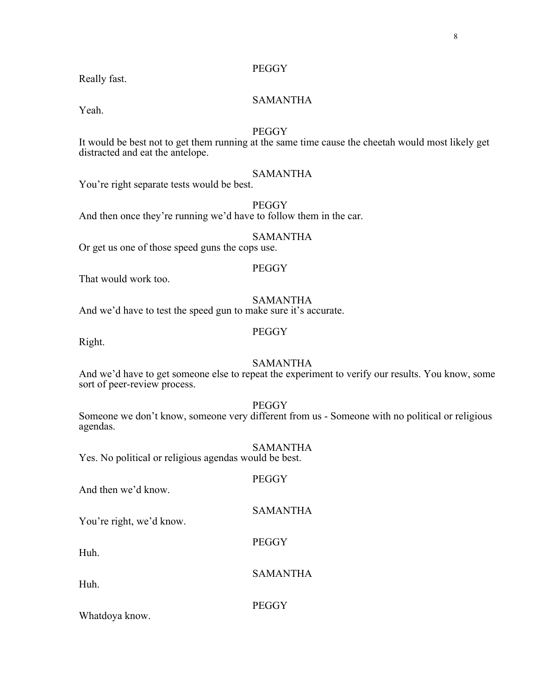Really fast.

# SAMANTHA

Yeah.

# **PEGGY**

It would be best not to get them running at the same time cause the cheetah would most likely get distracted and eat the antelope.

# SAMANTHA

You're right separate tests would be best.

**PEGGY** 

And then once they're running we'd have to follow them in the car.

# SAMANTHA

Or get us one of those speed guns the cops use.

#### PEGGY

That would work too.

# SAMANTHA

And we'd have to test the speed gun to make sure it's accurate.

# **PEGGY**

Right.

# SAMANTHA

And we'd have to get someone else to repeat the experiment to verify our results. You know, some sort of peer-review process.

#### **PEGGY**

**PEGGY** 

**PEGGY** 

Someone we don't know, someone very different from us - Someone with no political or religious agendas.

#### SAMANTHA

SAMANTHA

Yes. No political or religious agendas would be best.

# And then we'd know.

You're right, we'd know.

Huh.

Huh.

SAMANTHA

**PEGGY** 

Whatdoya know.